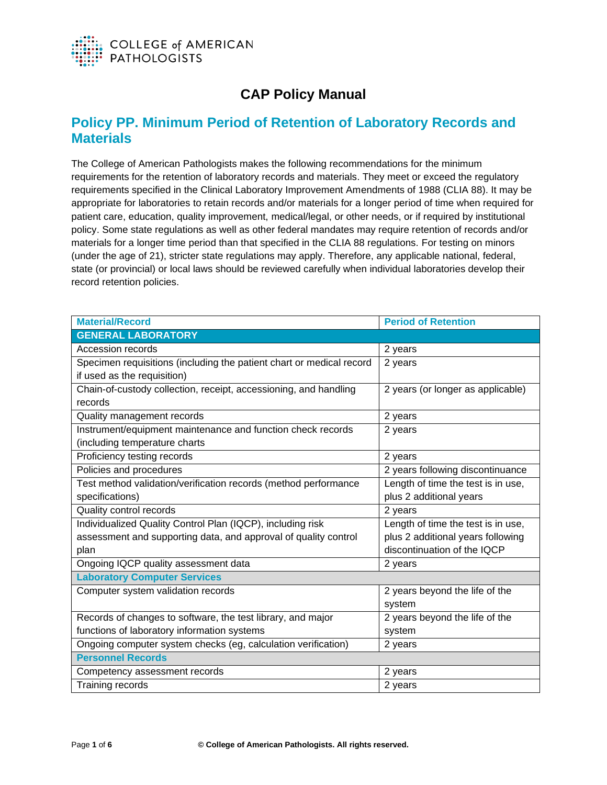

## **CAP Policy Manual**

## **Policy PP. Minimum Period of Retention of Laboratory Records and Materials**

The College of American Pathologists makes the following recommendations for the minimum requirements for the retention of laboratory records and materials. They meet or exceed the regulatory requirements specified in the Clinical Laboratory Improvement Amendments of 1988 (CLIA 88). It may be appropriate for laboratories to retain records and/or materials for a longer period of time when required for patient care, education, quality improvement, medical/legal, or other needs, or if required by institutional policy. Some state regulations as well as other federal mandates may require retention of records and/or materials for a longer time period than that specified in the CLIA 88 regulations. For testing on minors (under the age of 21), stricter state regulations may apply. Therefore, any applicable national, federal, state (or provincial) or local laws should be reviewed carefully when individual laboratories develop their record retention policies.

| <b>Material/Record</b>                                               | <b>Period of Retention</b>         |  |
|----------------------------------------------------------------------|------------------------------------|--|
| <b>GENERAL LABORATORY</b>                                            |                                    |  |
| Accession records                                                    | 2 years                            |  |
| Specimen requisitions (including the patient chart or medical record | 2 years                            |  |
| if used as the requisition)                                          |                                    |  |
| Chain-of-custody collection, receipt, accessioning, and handling     | 2 years (or longer as applicable)  |  |
| records                                                              |                                    |  |
| Quality management records                                           | 2 years                            |  |
| Instrument/equipment maintenance and function check records          | 2 years                            |  |
| (including temperature charts                                        |                                    |  |
| Proficiency testing records                                          | 2 years                            |  |
| Policies and procedures                                              | 2 years following discontinuance   |  |
| Test method validation/verification records (method performance      | Length of time the test is in use, |  |
| specifications)                                                      | plus 2 additional years            |  |
| Quality control records                                              | 2 years                            |  |
| Individualized Quality Control Plan (IQCP), including risk           | Length of time the test is in use, |  |
| assessment and supporting data, and approval of quality control      | plus 2 additional years following  |  |
| plan                                                                 | discontinuation of the IQCP        |  |
| Ongoing IQCP quality assessment data                                 | 2 years                            |  |
| <b>Laboratory Computer Services</b>                                  |                                    |  |
| Computer system validation records                                   | 2 years beyond the life of the     |  |
|                                                                      | system                             |  |
| Records of changes to software, the test library, and major          | 2 years beyond the life of the     |  |
| functions of laboratory information systems                          | system                             |  |
| Ongoing computer system checks (eg, calculation verification)        | 2 years                            |  |
| <b>Personnel Records</b>                                             |                                    |  |
| Competency assessment records                                        | 2 years                            |  |
| Training records                                                     | 2 years                            |  |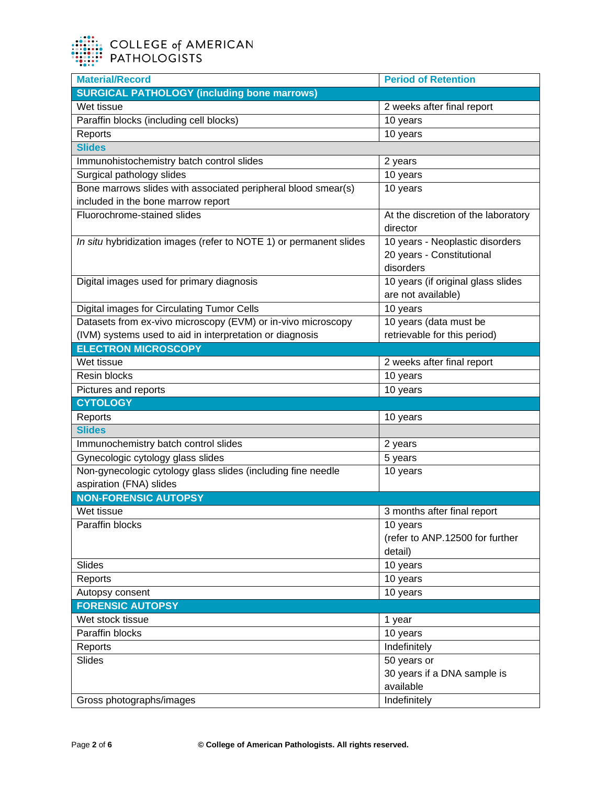| <b>Material/Record</b>                                             | <b>Period of Retention</b>          |
|--------------------------------------------------------------------|-------------------------------------|
| <b>SURGICAL PATHOLOGY (including bone marrows)</b>                 |                                     |
| Wet tissue                                                         | 2 weeks after final report          |
| Paraffin blocks (including cell blocks)                            | 10 years                            |
| Reports                                                            | 10 years                            |
| <b>Slides</b>                                                      |                                     |
| Immunohistochemistry batch control slides                          | 2 years                             |
| Surgical pathology slides                                          | 10 years                            |
| Bone marrows slides with associated peripheral blood smear(s)      | 10 years                            |
| included in the bone marrow report                                 |                                     |
| Fluorochrome-stained slides                                        | At the discretion of the laboratory |
|                                                                    | director                            |
| In situ hybridization images (refer to NOTE 1) or permanent slides | 10 years - Neoplastic disorders     |
|                                                                    | 20 years - Constitutional           |
|                                                                    | disorders                           |
| Digital images used for primary diagnosis                          | 10 years (if original glass slides  |
|                                                                    | are not available)                  |
| <b>Digital images for Circulating Tumor Cells</b>                  | 10 years                            |
| Datasets from ex-vivo microscopy (EVM) or in-vivo microscopy       | 10 years (data must be              |
| (IVM) systems used to aid in interpretation or diagnosis           | retrievable for this period)        |
| <b>ELECTRON MICROSCOPY</b>                                         |                                     |
| Wet tissue                                                         | 2 weeks after final report          |
| Resin blocks                                                       | 10 years                            |
| Pictures and reports                                               | 10 years                            |
| <b>CYTOLOGY</b>                                                    |                                     |
| Reports                                                            | 10 years                            |
| <b>Slides</b>                                                      |                                     |
| Immunochemistry batch control slides                               | 2 years                             |
| Gynecologic cytology glass slides                                  | 5 years                             |
| Non-gynecologic cytology glass slides (including fine needle       | 10 years                            |
| aspiration (FNA) slides                                            |                                     |
| <b>NON-FORENSIC AUTOPSY</b>                                        |                                     |
| Wet tissue                                                         | 3 months after final report         |
| Paraffin blocks                                                    | 10 years                            |
|                                                                    | (refer to ANP.12500 for further     |
|                                                                    | detail)                             |
| Slides                                                             | 10 years                            |
| Reports                                                            | 10 years                            |
| Autopsy consent                                                    | 10 years                            |
| <b>FORENSIC AUTOPSY</b>                                            |                                     |
| Wet stock tissue                                                   | 1 year                              |
| Paraffin blocks                                                    | 10 years                            |
| Reports                                                            | Indefinitely                        |
| Slides                                                             | 50 years or                         |
|                                                                    | 30 years if a DNA sample is         |
|                                                                    | available                           |
| Gross photographs/images                                           | Indefinitely                        |
|                                                                    |                                     |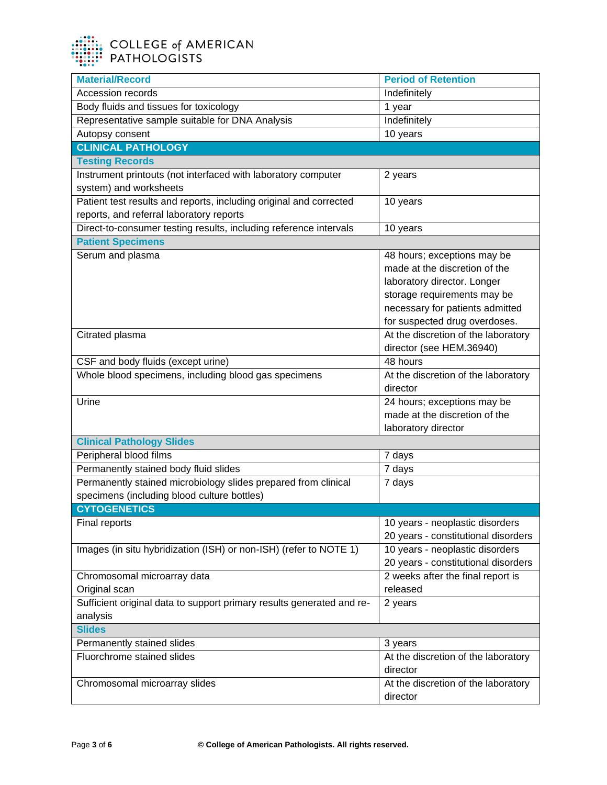

| <b>Material/Record</b>                                                | <b>Period of Retention</b>          |
|-----------------------------------------------------------------------|-------------------------------------|
| <b>Accession records</b>                                              | Indefinitely                        |
| Body fluids and tissues for toxicology                                | 1 year                              |
| Representative sample suitable for DNA Analysis                       | Indefinitely                        |
| Autopsy consent                                                       | 10 years                            |
| <b>CLINICAL PATHOLOGY</b>                                             |                                     |
| <b>Testing Records</b>                                                |                                     |
| Instrument printouts (not interfaced with laboratory computer         | 2 years                             |
| system) and worksheets                                                |                                     |
| Patient test results and reports, including original and corrected    | 10 years                            |
| reports, and referral laboratory reports                              |                                     |
| Direct-to-consumer testing results, including reference intervals     | 10 years                            |
| <b>Patient Specimens</b>                                              |                                     |
| Serum and plasma                                                      | 48 hours; exceptions may be         |
|                                                                       | made at the discretion of the       |
|                                                                       | laboratory director. Longer         |
|                                                                       | storage requirements may be         |
|                                                                       | necessary for patients admitted     |
|                                                                       | for suspected drug overdoses.       |
| Citrated plasma                                                       | At the discretion of the laboratory |
|                                                                       | director (see HEM.36940)            |
| CSF and body fluids (except urine)                                    | 48 hours                            |
| Whole blood specimens, including blood gas specimens                  | At the discretion of the laboratory |
|                                                                       | director                            |
| Urine                                                                 | 24 hours; exceptions may be         |
|                                                                       | made at the discretion of the       |
|                                                                       | laboratory director                 |
| <b>Clinical Pathology Slides</b>                                      |                                     |
| Peripheral blood films                                                | 7 days                              |
| Permanently stained body fluid slides                                 | 7 days                              |
| Permanently stained microbiology slides prepared from clinical        | 7 days                              |
| specimens (including blood culture bottles)                           |                                     |
| <b>CYTOGENETICS</b>                                                   |                                     |
| Final reports                                                         | 10 years - neoplastic disorders     |
|                                                                       | 20 years - constitutional disorders |
| Images (in situ hybridization (ISH) or non-ISH) (refer to NOTE 1)     | 10 years - neoplastic disorders     |
|                                                                       | 20 years - constitutional disorders |
| Chromosomal microarray data                                           | 2 weeks after the final report is   |
| Original scan                                                         | released                            |
| Sufficient original data to support primary results generated and re- | 2 years                             |
| analysis                                                              |                                     |
| <b>Slides</b>                                                         |                                     |
| Permanently stained slides                                            | 3 years                             |
| Fluorchrome stained slides                                            | At the discretion of the laboratory |
|                                                                       | director                            |
| Chromosomal microarray slides                                         | At the discretion of the laboratory |
|                                                                       | director                            |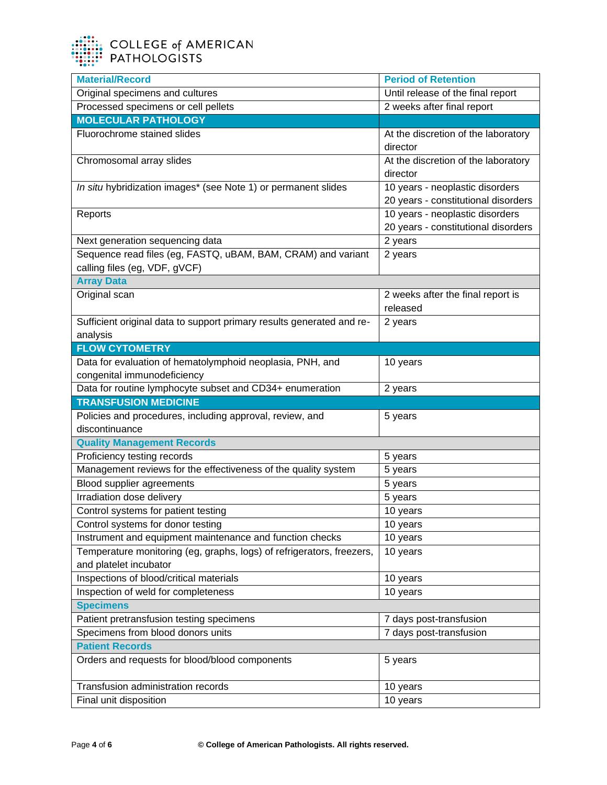| <b>Material/Record</b>                                                                          | <b>Period of Retention</b>                                             |
|-------------------------------------------------------------------------------------------------|------------------------------------------------------------------------|
| Original specimens and cultures                                                                 | Until release of the final report                                      |
| Processed specimens or cell pellets                                                             | 2 weeks after final report                                             |
| <b>MOLECULAR PATHOLOGY</b>                                                                      |                                                                        |
| Fluorochrome stained slides                                                                     | At the discretion of the laboratory<br>director                        |
| Chromosomal array slides                                                                        | At the discretion of the laboratory<br>director                        |
| In situ hybridization images* (see Note 1) or permanent slides                                  | 10 years - neoplastic disorders<br>20 years - constitutional disorders |
| Reports                                                                                         | 10 years - neoplastic disorders<br>20 years - constitutional disorders |
| Next generation sequencing data                                                                 | 2 years                                                                |
| Sequence read files (eg, FASTQ, uBAM, BAM, CRAM) and variant<br>calling files (eg, VDF, gVCF)   | 2 years                                                                |
| <b>Array Data</b>                                                                               |                                                                        |
| Original scan                                                                                   | 2 weeks after the final report is<br>released                          |
| Sufficient original data to support primary results generated and re-<br>analysis               | 2 years                                                                |
| <b>FLOW CYTOMETRY</b>                                                                           |                                                                        |
| Data for evaluation of hematolymphoid neoplasia, PNH, and<br>congenital immunodeficiency        | 10 years                                                               |
| Data for routine lymphocyte subset and CD34+ enumeration                                        | 2 years                                                                |
| <b>TRANSFUSION MEDICINE</b>                                                                     |                                                                        |
|                                                                                                 |                                                                        |
| Policies and procedures, including approval, review, and<br>discontinuance                      | 5 years                                                                |
|                                                                                                 |                                                                        |
| <b>Quality Management Records</b>                                                               |                                                                        |
| Proficiency testing records                                                                     | 5 years                                                                |
| Management reviews for the effectiveness of the quality system                                  | 5 years                                                                |
| Blood supplier agreements<br>Irradiation dose delivery                                          | 5 years<br>5 years                                                     |
|                                                                                                 | 10 years                                                               |
| Control systems for patient testing<br>Control systems for donor testing                        | 10 years                                                               |
| Instrument and equipment maintenance and function checks                                        | 10 years                                                               |
| Temperature monitoring (eg, graphs, logs) of refrigerators, freezers,<br>and platelet incubator | 10 years                                                               |
| Inspections of blood/critical materials                                                         | 10 years                                                               |
| Inspection of weld for completeness                                                             | 10 years                                                               |
| <b>Specimens</b>                                                                                |                                                                        |
| Patient pretransfusion testing specimens                                                        | 7 days post-transfusion                                                |
| Specimens from blood donors units                                                               | 7 days post-transfusion                                                |
| <b>Patient Records</b>                                                                          |                                                                        |
| Orders and requests for blood/blood components                                                  | 5 years                                                                |
| Transfusion administration records                                                              | 10 years                                                               |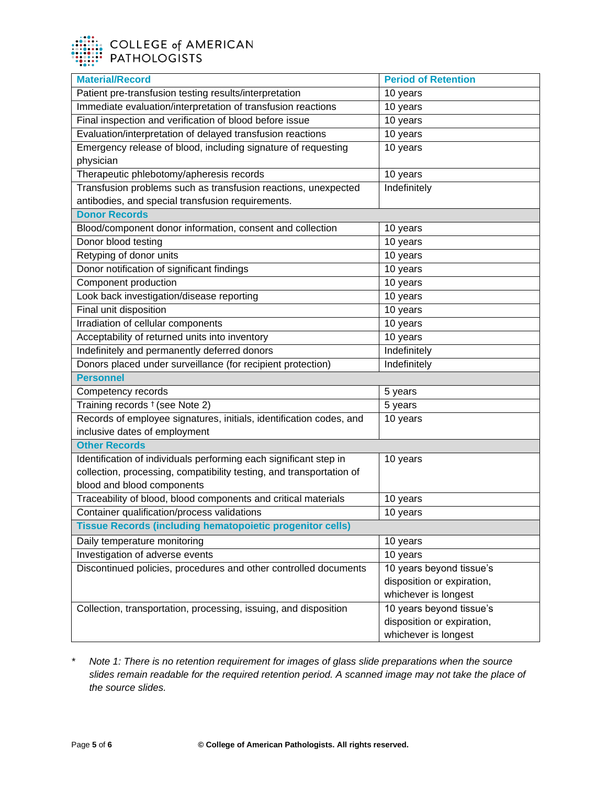| <b>Material/Record</b>                                               | <b>Period of Retention</b> |  |
|----------------------------------------------------------------------|----------------------------|--|
| Patient pre-transfusion testing results/interpretation               | 10 years                   |  |
| Immediate evaluation/interpretation of transfusion reactions         | 10 years                   |  |
| Final inspection and verification of blood before issue              | 10 years                   |  |
| Evaluation/interpretation of delayed transfusion reactions           | 10 years                   |  |
| Emergency release of blood, including signature of requesting        | $10$ years                 |  |
| physician                                                            |                            |  |
| Therapeutic phlebotomy/apheresis records                             | 10 years                   |  |
| Transfusion problems such as transfusion reactions, unexpected       | Indefinitely               |  |
| antibodies, and special transfusion requirements.                    |                            |  |
| <b>Donor Records</b>                                                 |                            |  |
| Blood/component donor information, consent and collection            | 10 years                   |  |
| Donor blood testing                                                  | 10 years                   |  |
| Retyping of donor units                                              | 10 years                   |  |
| Donor notification of significant findings                           | 10 years                   |  |
| Component production                                                 | 10 years                   |  |
| Look back investigation/disease reporting                            | $\overline{10}$ years      |  |
| Final unit disposition                                               | 10 years                   |  |
| Irradiation of cellular components                                   | 10 years                   |  |
| Acceptability of returned units into inventory                       | 10 years                   |  |
| Indefinitely and permanently deferred donors                         | Indefinitely               |  |
| Donors placed under surveillance (for recipient protection)          | Indefinitely               |  |
| <b>Personnel</b>                                                     |                            |  |
| Competency records                                                   | 5 years                    |  |
| Training records <sup>†</sup> (see Note 2)                           | 5 years                    |  |
| Records of employee signatures, initials, identification codes, and  | 10 years                   |  |
| inclusive dates of employment                                        |                            |  |
| <b>Other Records</b>                                                 |                            |  |
| Identification of individuals performing each significant step in    | 10 years                   |  |
| collection, processing, compatibility testing, and transportation of |                            |  |
| blood and blood components                                           |                            |  |
| Traceability of blood, blood components and critical materials       | 10 years                   |  |
| Container qualification/process validations                          | 10 years                   |  |
| <b>Tissue Records (including hematopoietic progenitor cells)</b>     |                            |  |
| Daily temperature monitoring                                         | 10 years                   |  |
| Investigation of adverse events                                      | 10 years                   |  |
| Discontinued policies, procedures and other controlled documents     | 10 years beyond tissue's   |  |
|                                                                      | disposition or expiration, |  |
|                                                                      | whichever is longest       |  |
| Collection, transportation, processing, issuing, and disposition     | 10 years beyond tissue's   |  |
|                                                                      | disposition or expiration, |  |
|                                                                      | whichever is longest       |  |

*\* Note 1: There is no retention requirement for images of glass slide preparations when the source slides remain readable for the required retention period. A scanned image may not take the place of the source slides.*